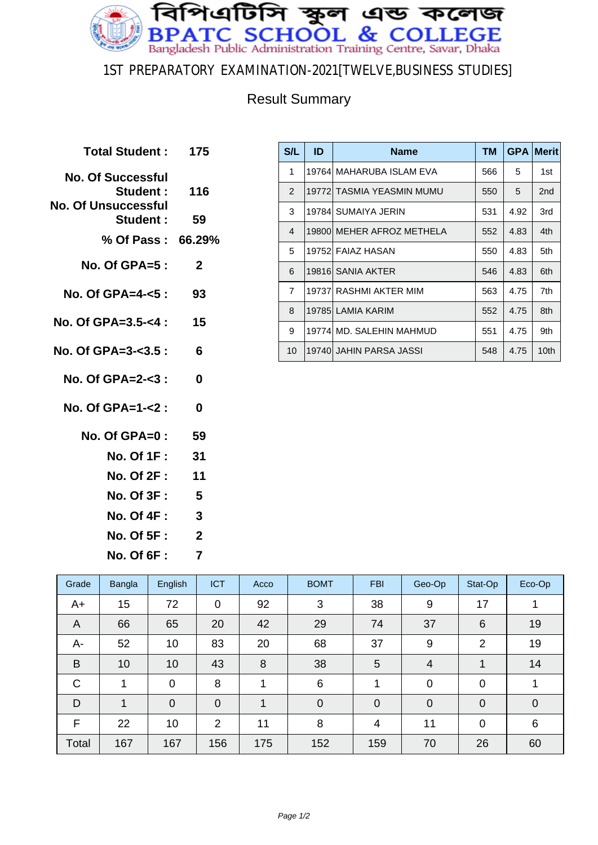

## 1ST PREPARATORY EXAMINATION-2021[TWELVE,BUSINESS STUDIES]

## Result Summary

| Total Student: 175       |
|--------------------------|
| Student: 116             |
| 59                       |
| % Of Pass: 66.29%        |
| $\mathbf{2}$             |
| No. Of GPA=4- $5:93$     |
| 15                       |
| No. Of GPA=3-<3.5 :<br>6 |
| $\bf{0}$                 |
| 0                        |
| -59                      |
| No. Of 1F :<br>-31       |
| -11                      |
| 5<br><b>No. Of 3F :</b>  |
| $\overline{\mathbf{3}}$  |
| $\mathbf{2}$             |
| 7                        |
|                          |

| S/L            | ID     | <b>Name</b>                | <b>TM</b> | <b>GPA</b> | <b>Merit</b> |
|----------------|--------|----------------------------|-----------|------------|--------------|
| 1              |        | 19764  MAHARUBA ISLAM EVA  | 566       | 5          | 1st          |
| $\mathcal{P}$  |        | 19772  TASMIA YEASMIN MUMU | 550       | 5          | 2nd          |
| 3              |        | 19784 SUMAIYA JERIN        | 531       | 4.92       | 3rd          |
| $\overline{4}$ |        | 19800 MEHER AFROZ METHELA  | 552       | 4.83       | 4th          |
| 5              |        | 19752 FAIAZ HASAN          | 550       | 4.83       | 5th          |
| 6              |        | 19816 SANIA AKTER          | 546       | 4.83       | 6th          |
| $\overline{7}$ | 197371 | RASHMI AKTER MIM           | 563       | 4.75       | 7th          |
| 8              |        | 19785 LAMIA KARIM          | 552       | 4.75       | 8th          |
| 9              |        | 19774 MD. SALEHIN MAHMUD   | 551       | 4.75       | 9th          |
| 10             |        | 19740  JAHIN PARSA JASSI   | 548       | 4.75       | 10th         |

| Grade          | Bangla       | English        | <b>ICT</b>     | Acco | <b>BOMT</b>     | <b>FBI</b>  | Geo-Op      | Stat-Op        | Eco-Op      |
|----------------|--------------|----------------|----------------|------|-----------------|-------------|-------------|----------------|-------------|
| A+             | 15           | 72             | $\overline{0}$ | 92   | 3               | 38          | 9           | 17             |             |
| $\overline{A}$ | 66           | 65             | 20             | 42   | 29              | 74          | 37          | 6              | 19          |
| А-             | 52           | 10             | 83             | 20   | 68              | 37          | 9           | 2              | 19          |
| B              | 10           | 10             | 43             | 8    | 38              | 5           | 4           | 1              | 14          |
| $\mathsf{C}$   | 1            | $\mathbf 0$    | 8              | 1    | $6\phantom{1}6$ | 1           | 0           | $\overline{0}$ | 1           |
| D              | $\mathbf{1}$ | $\overline{0}$ | $\overline{0}$ | 1    | $\overline{0}$  | $\mathbf 0$ | $\mathbf 0$ | $\overline{0}$ | $\mathbf 0$ |
| F              | 22           | 10             | 2              | 11   | 8               | 4           | 11          | $\mathbf 0$    | 6           |
| Total          | 167          | 167            | 156            | 175  | 152             | 159         | 70          | 26             | 60          |